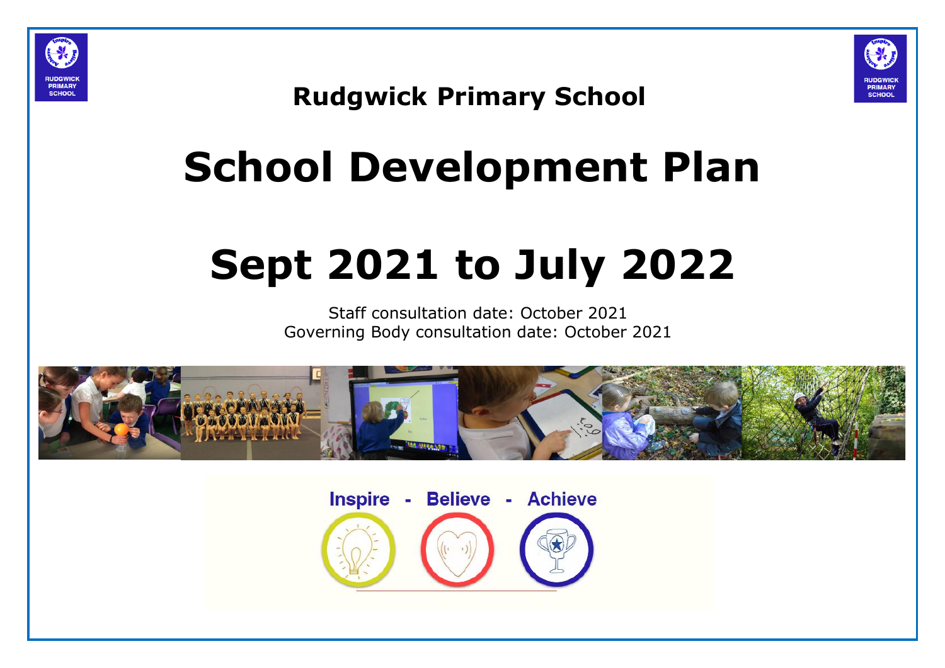



### **Rudgwick Primary School**

# **School Development Plan**

## **Sept 2021 to July 2022**

Staff consultation date: October 2021 Governing Body consultation date: October 2021



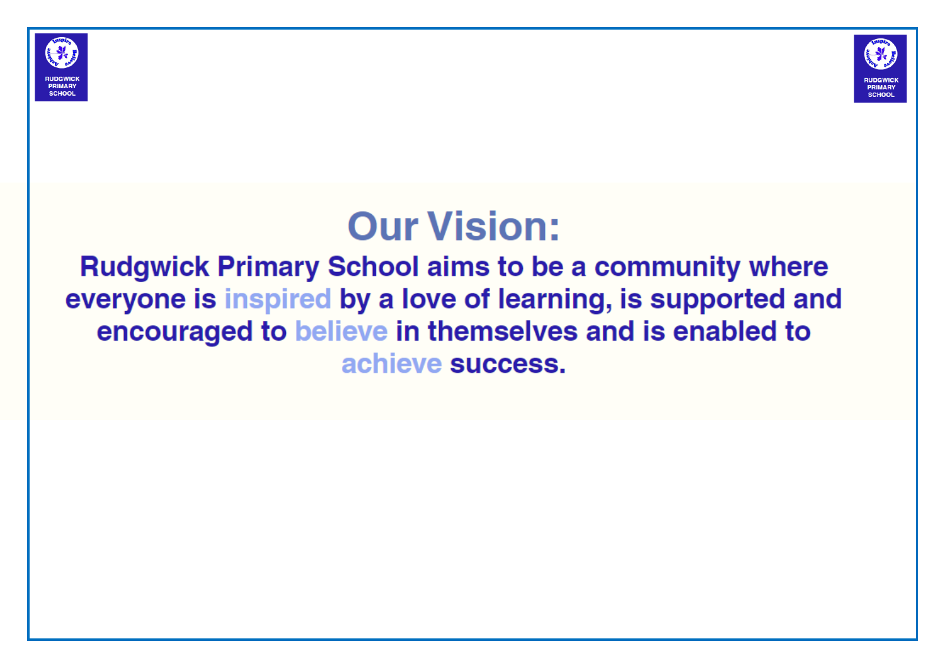



### **Our Vision:**

**Rudgwick Primary School aims to be a community where** everyone is inspired by a love of learning, is supported and encouraged to believe in themselves and is enabled to achieve success.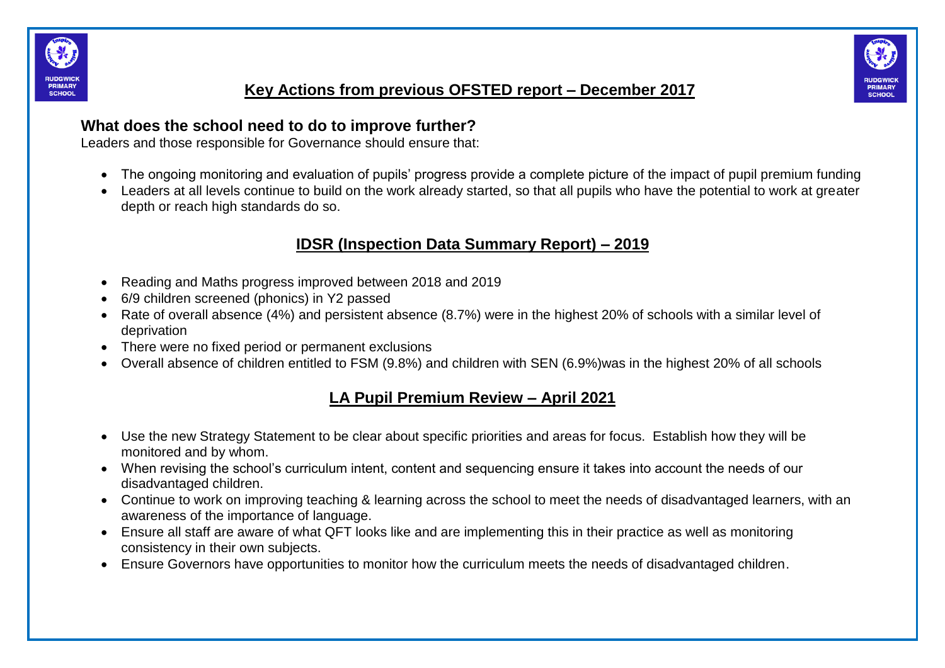



#### **Key Actions from previous OFSTED report – December 2017**

#### **What does the school need to do to improve further?**

Leaders and those responsible for Governance should ensure that:

- The ongoing monitoring and evaluation of pupils' progress provide a complete picture of the impact of pupil premium funding
- Leaders at all levels continue to build on the work already started, so that all pupils who have the potential to work at greater depth or reach high standards do so.

#### **IDSR (Inspection Data Summary Report) – 2019**

- Reading and Maths progress improved between 2018 and 2019
- 6/9 children screened (phonics) in Y2 passed
- Rate of overall absence (4%) and persistent absence (8.7%) were in the highest 20% of schools with a similar level of deprivation
- There were no fixed period or permanent exclusions
- Overall absence of children entitled to FSM (9.8%) and children with SEN (6.9%)was in the highest 20% of all schools

#### **LA Pupil Premium Review – April 2021**

- Use the new Strategy Statement to be clear about specific priorities and areas for focus. Establish how they will be monitored and by whom.
- When revising the school's curriculum intent, content and sequencing ensure it takes into account the needs of our disadvantaged children.
- Continue to work on improving teaching & learning across the school to meet the needs of disadvantaged learners, with an awareness of the importance of language.
- Ensure all staff are aware of what QFT looks like and are implementing this in their practice as well as monitoring consistency in their own subjects.
- Ensure Governors have opportunities to monitor how the curriculum meets the needs of disadvantaged children.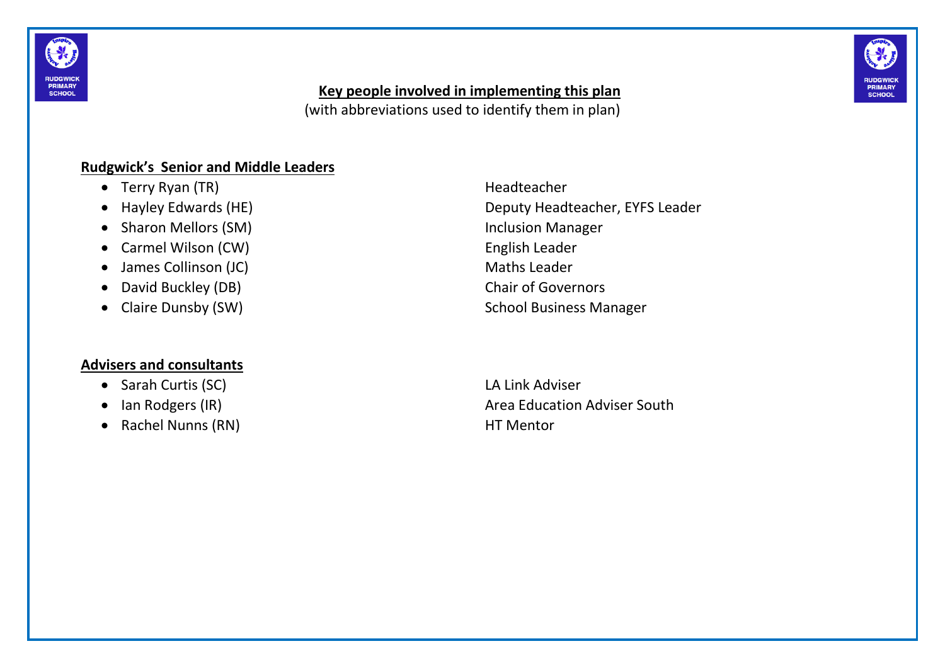



#### **Key people involved in implementing this plan**

(with abbreviations used to identify them in plan)

#### **Rudgwick's Senior and Middle Leaders**

- Terry Ryan (TR) and the settlement of the Headteacher
- 
- Sharon Mellors (SM) Sharon Manager
- Carmel Wilson (CW) **English Leader**
- James Collinson (JC) and the state of the Maths Leader
- David Buckley (DB) Chair of Governors
- 

#### **Advisers and consultants**

- Sarah Curtis (SC) LA Link Adviser
- 
- Rachel Nunns (RN) HT Mentor

 Hayley Edwards (HE) Deputy Headteacher, EYFS Leader • Claire Dunsby (SW) School Business Manager

• Ian Rodgers (IR) **Area Education Adviser South** Area Education Adviser South